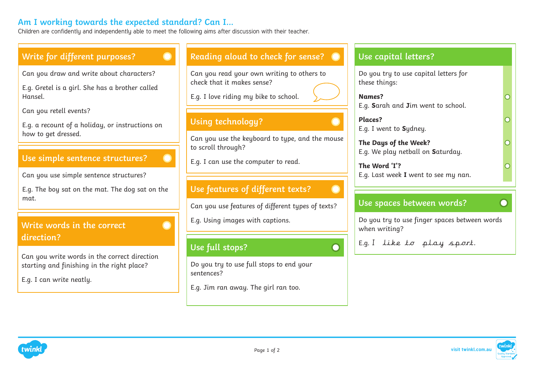# **Am I working towards the expected standard? Can I...**

Children are confidently and independently able to meet the following aims after discussion with their teacher.

#### **Write for different purposes? Reading aloud to check for sense? Use capital letters?** Can you draw and write about characters? Can you read your own writing to others to Do you try to use capital letters for check that it makes sense? these things: E.g. Gretel is a girl. She has a brother called E.g. I love riding my bike to school. Hansel. **Names?** E.g. **S**arah and **J**im went to school. Can you retell events? **Places? Using technology?**  E.g. a recount of a holiday, or instructions on E.g. I went to **S**ydney. how to get dressed. Can you use the keyboard to type, and the mouse **The Days of the Week?** to scroll through? E.g. We play netball on **S**aturday. **Use simple sentence structures?**  E.g. I can use the computer to read. **The Word 'I'?** E.g. Last week **I** went to see my nan. Can you use simple sentence structures? **Use features of different texts?**  E.g. The boy sat on the mat. The dog sat on the mat. **Use spaces between words?**  $\subset$ Can you use features of different types of texts? E.g. Using images with captions. Do you try to use finger spaces between words **Write words in the correct**  when writing? **direction?**  E.g. I like to play sport. **Use full stops?** Can you write words in the correct direction Do you try to use full stops to end your starting and finishing in the right place? sentences? E.g. I can write neatly. E.g. Jim ran away. The girl ran too.



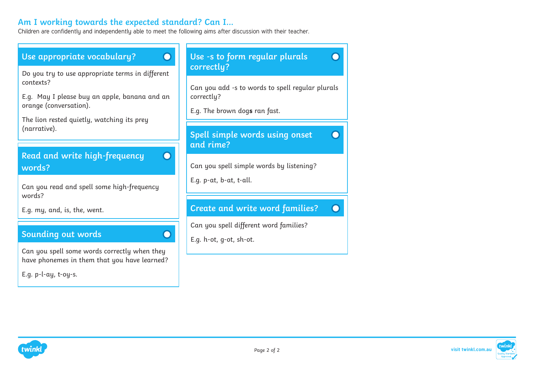### **Am I working towards the expected standard? Can I...**

Children are confidently and independently able to meet the following aims after discussion with their teacher.





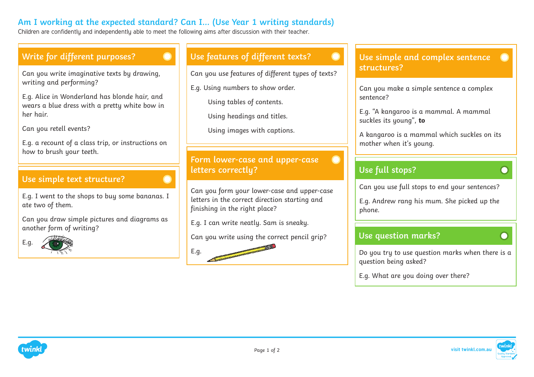# **Am I working at the expected standard? Can I… (Use Year 1 writing standards)**

Children are confidently and independently able to meet the following aims after discussion with their teacher.

### **Write for different purposes?**

Can you write imaginative texts by drawing, writing and performing?

E.g. Alice in Wonderland has blonde hair, and wears a blue dress with a pretty white bow in her hair.

Can you retell events?

E.g. a recount of a class trip, or instructions on how to brush your teeth.

#### **Use simple text structure?**

E.g. I went to the shops to buy some bananas. I ate two of them.

Can you draw simple pictures and diagrams as another form of writing?



# **Use features of different texts?**

Can you use features of different types of texts?

E.g. Using numbers to show order.

Using tables of contents.

Using headings and titles.

Using images with captions.

#### **Form lower-case and upper-case letters correctly?**

Can you form your lower-case and upper-case letters in the correct direction starting and finishing in the right place?

E.g. I can write neatly. Sam is sneaky.

Can you write using the correct pencil grip?



#### **Use simple and complex sentence structures?**

Can you make a simple sentence a complex sentence?

E.g. "A kangaroo is a mammal. A mammal suckles its young", **to**

A kangaroo is a mammal which suckles on its mother when it's young.

# **Use full stops?**

Can you use full stops to end your sentences?

E.g. Andrew rang his mum. She picked up the phone.

#### **Use question marks?**

Do you try to use question marks when there is a question being asked?

E.g. What are you doing over there?



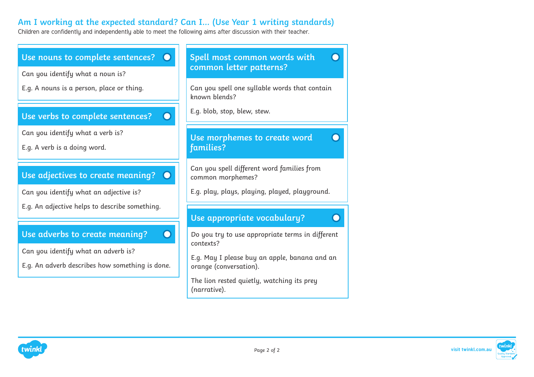# **Am I working at the expected standard? Can I… (Use Year 1 writing standards)**

Children are confidently and independently able to meet the following aims after discussion with their teacher.



twînl

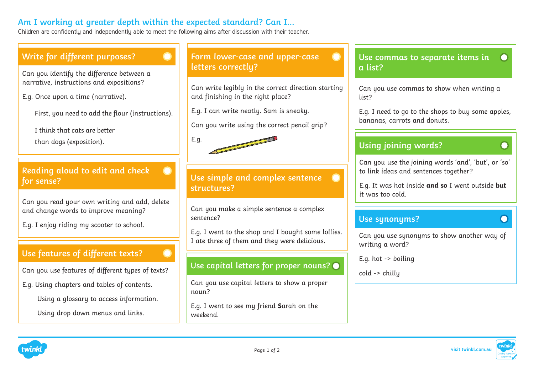# **Am I working at greater depth within the expected standard? Can I…**

Children are confidently and independently able to meet the following aims after discussion with their teacher.

E.g.

# **Write for different purposes?**

Can you identify the difference between a narrative, instructions and expositions?

E.g. Once upon a time (narrative).

First, you need to add the flour (instructions).

I think that cats are better

than dogs (exposition).

### **Reading aloud to edit and check for sense?**

Can you read your own writing and add, delete and change words to improve meaning?

E.g. I enjoy riding my scooter to school.

# **Use features of different texts?**

Can you use features of different types of texts?

E.g. Using chapters and tables of contents.

Using a glossary to access information.

Using drop down menus and links.

### **Form lower-case and upper-case letters correctly?**

Can write legibly in the correct direction starting and finishing in the right place?

E.g. I can write neatly. Sam is sneaky.

Can you write using the correct pencil grip?

**Use simple and complex sentence structures?** 

Can you make a simple sentence a complex sentence?

E.g. I went to the shop and I bought some lollies. I ate three of them and they were delicious.

# **Use capital letters for proper nouns?**

Can you use capital letters to show a proper noun?

E.g. I went to see my friend **S**arah on the weekend.

### **Use commas to separate items in a list?**

Can you use commas to show when writing a list?

E.g. I need to go to the shops to buy some apples, bananas, carrots and donuts.

# **Using joining words?**

Can you use the joining words 'and', 'but', or 'so' to link ideas and sentences together?

E.g. It was hot inside **and so** I went outside **but** it was too cold.

### **Use synonyms?**

Can you use synonyms to show another way of writing a word?

E.g. hot -> boiling

cold -> chilly





 $\Box$